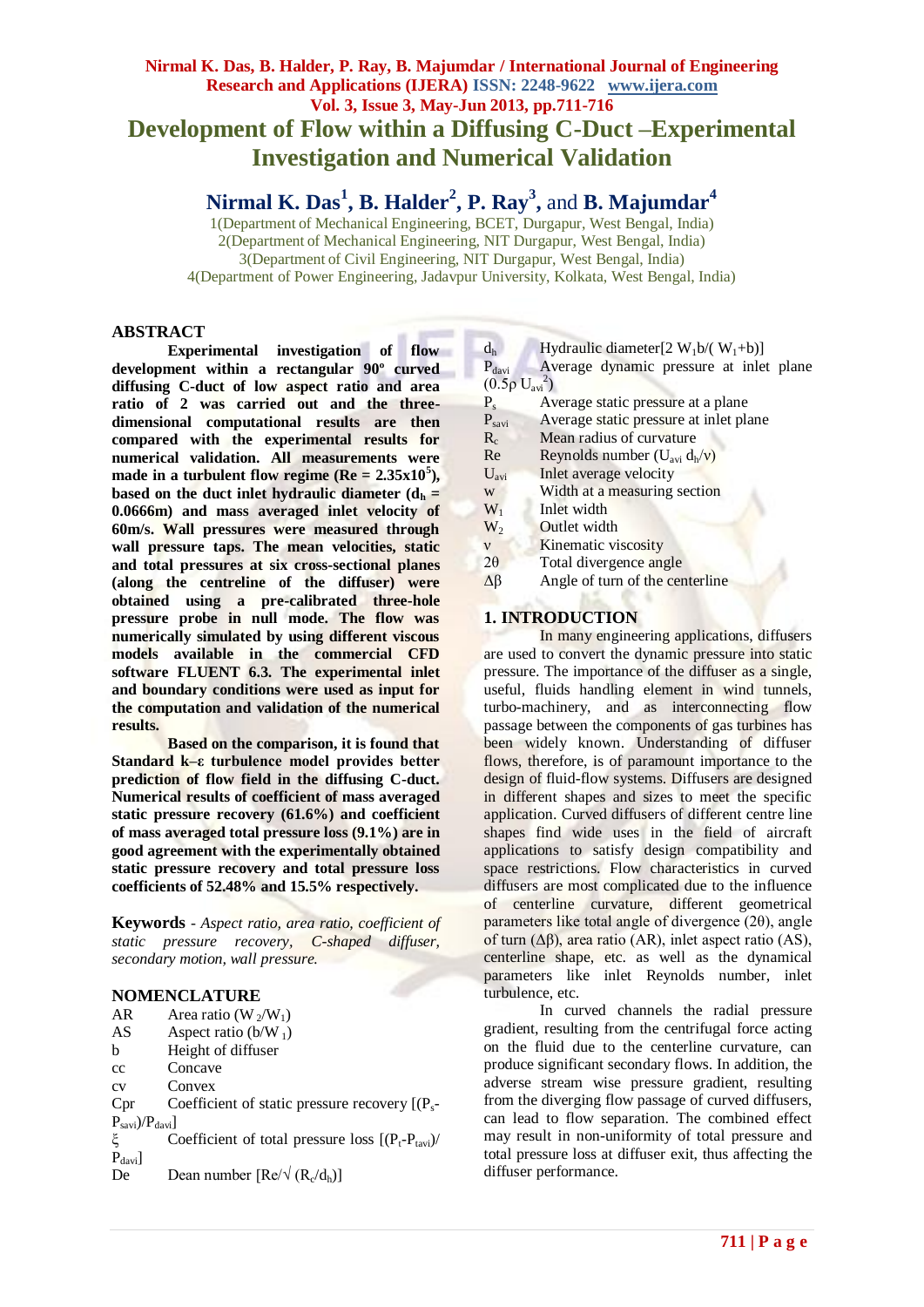## **Nirmal K. Das, B. Halder, P. Ray, B. Majumdar / International Journal of Engineering Research and Applications (IJERA) ISSN: 2248-9622 www.ijera.com Vol. 3, Issue 3, May-Jun 2013, pp.711-716 Development of Flow within a Diffusing C-Duct –Experimental Investigation and Numerical Validation**

# **Nirmal K. Das<sup>1</sup> , B. Halder<sup>2</sup> , P. Ray<sup>3</sup> ,** and **B. Majumdar<sup>4</sup>**

1(Department of Mechanical Engineering, BCET, Durgapur, West Bengal, India) 2(Department of Mechanical Engineering, NIT Durgapur, West Bengal, India) 3(Department of Civil Engineering, NIT Durgapur, West Bengal, India) 4(Department of Power Engineering, Jadavpur University, Kolkata, West Bengal, India)

## **ABSTRACT**

**Experimental investigation of flow development within a rectangular 90º curved diffusing C-duct of low aspect ratio and area ratio of 2 was carried out and the threedimensional computational results are then compared with the experimental results for numerical validation. All measurements were**  made in a turbulent flow regime  $(Re = 2.35x10^5)$ , **based on the duct inlet hydraulic diameter**  $(d_h =$ **0.0666m) and mass averaged inlet velocity of 60m/s. Wall pressures were measured through wall pressure taps. The mean velocities, static and total pressures at six cross-sectional planes (along the centreline of the diffuser) were obtained using a pre-calibrated three-hole pressure probe in null mode. The flow was numerically simulated by using different viscous models available in the commercial CFD software FLUENT 6.3. The experimental inlet and boundary conditions were used as input for the computation and validation of the numerical results.** 

**Based on the comparison, it is found that Standard k–ε turbulence model provides better prediction of flow field in the diffusing C-duct. Numerical results of coefficient of mass averaged static pressure recovery (61.6%) and coefficient of mass averaged total pressure loss (9.1%) are in good agreement with the experimentally obtained static pressure recovery and total pressure loss coefficients of 52.48% and 15.5% respectively.**

**Keywords** - *Aspect ratio, area ratio, coefficient of static pressure recovery, C-shaped diffuser, secondary motion, wall pressure.*

#### **NOMENCLATURE**

| AR                         | Area ratio (W <sub>2</sub> /W <sub>1</sub> )                 |
|----------------------------|--------------------------------------------------------------|
| AS                         | Aspect ratio ( $b/W_1$ )                                     |
| b                          | Height of diffuser                                           |
| cc                         | Concave                                                      |
| CV                         | Convex                                                       |
| Cpr                        | Coefficient of static pressure recovery $[(P_s -$            |
| $P_{savi}$ )/ $P_{davi}$ ] |                                                              |
| ξ                          | Coefficient of total pressure loss $[(P_t-P_{\text{tavi}})/$ |
| $P_{\text{davi}}$          |                                                              |
| De                         | Dean number $[Re/\sqrt{(R_c/d_h)}]$                          |

 $d_h$  Hydraulic diameter[2 W<sub>1</sub>b/( W<sub>1</sub>+b)]

P<sub>davi</sub> Average dynamic pressure at inlet plane  $(0.5ρ U<sub>avi</sub><sup>2</sup>)$ 

- $P_s$  Average static pressure at a plane<br>  $P_{savi}$  Average static pressure at inlet pla
- $P<sub>savi</sub>$  Average static pressure at inlet plane<br> $R<sub>c</sub>$  Mean radius of curvature
- $R_c$  Mean radius of curvature<br>Re Revnolds number  $(U_{avi} d_h)$
- Reynolds number  $(U_{\text{avi}} d_h/v)$
- U<sub>avi</sub> Inlet average velocity
- w Width at a measuring section
- $W_1$  Inlet width
- $W_2$  Outlet width
- ν Kinematic viscosity
- $2\theta$  Total divergence angle
- $\Delta \beta$  Angle of turn of the centerline

## **1. INTRODUCTION**

In many engineering applications, diffusers are used to convert the dynamic pressure into static pressure. The importance of the diffuser as a single, useful, fluids handling element in wind tunnels, turbo-machinery, and as interconnecting flow passage between the components of gas turbines has been widely known. Understanding of diffuser flows, therefore, is of paramount importance to the design of fluid-flow systems. Diffusers are designed in different shapes and sizes to meet the specific application. Curved diffusers of different centre line shapes find wide uses in the field of aircraft applications to satisfy design compatibility and space restrictions. Flow characteristics in curved diffusers are most complicated due to the influence of centerline curvature, different geometrical parameters like total angle of divergence (2θ), angle of turn (Δβ), area ratio (AR), inlet aspect ratio (AS), centerline shape, etc. as well as the dynamical parameters like inlet Reynolds number, inlet turbulence, etc.

In curved channels the radial pressure gradient, resulting from the centrifugal force acting on the fluid due to the centerline curvature, can produce significant secondary flows. In addition, the adverse stream wise pressure gradient, resulting from the diverging flow passage of curved diffusers, can lead to flow separation. The combined effect may result in non-uniformity of total pressure and total pressure loss at diffuser exit, thus affecting the diffuser performance.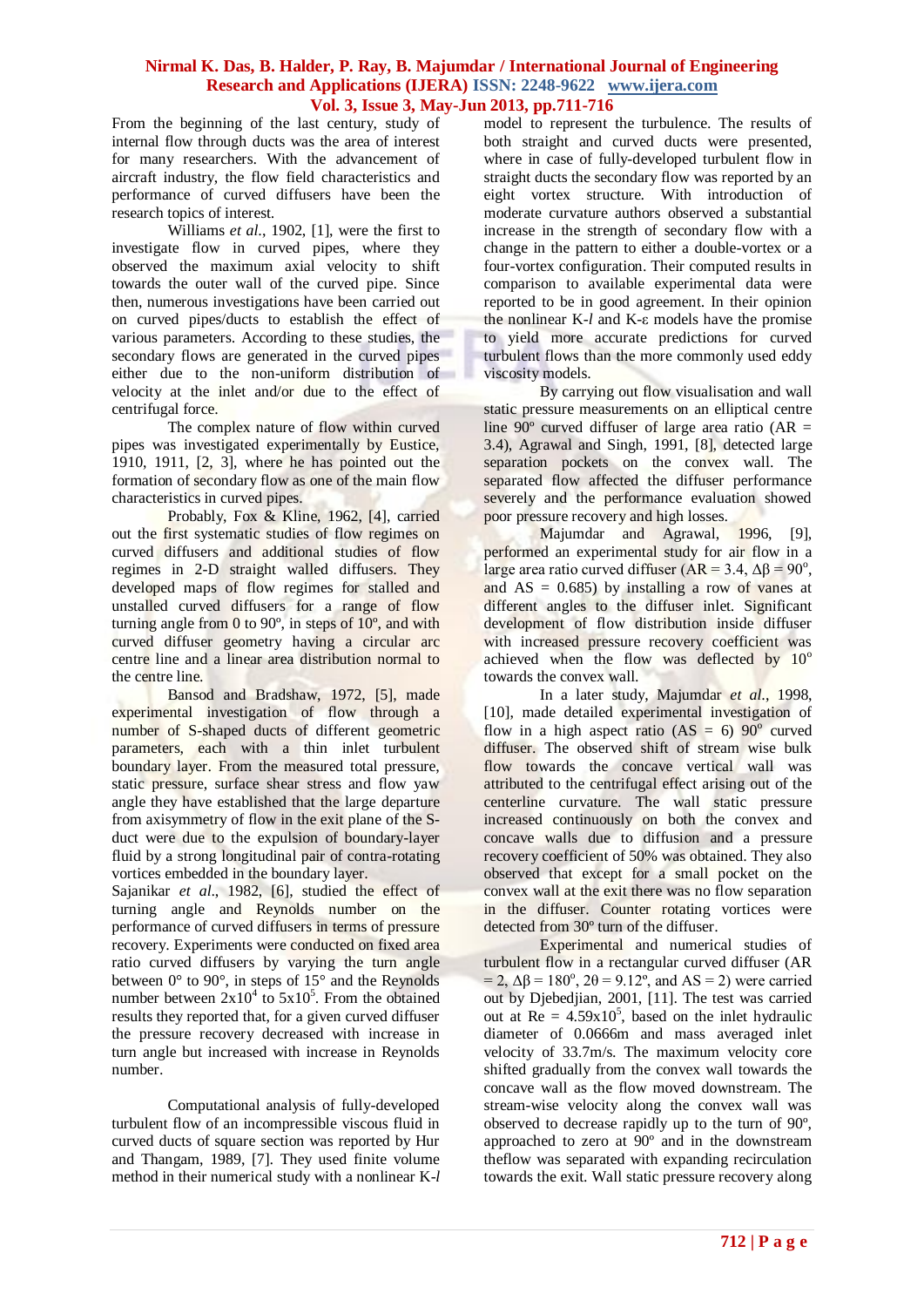From the beginning of the last century, study of internal flow through ducts was the area of interest for many researchers. With the advancement of aircraft industry, the flow field characteristics and performance of curved diffusers have been the research topics of interest.

Williams *et al*., 1902, [1], were the first to investigate flow in curved pipes, where they observed the maximum axial velocity to shift towards the outer wall of the curved pipe. Since then, numerous investigations have been carried out on curved pipes/ducts to establish the effect of various parameters. According to these studies, the secondary flows are generated in the curved pipes either due to the non-uniform distribution of velocity at the inlet and/or due to the effect of centrifugal force.

The complex nature of flow within curved pipes was investigated experimentally by Eustice, 1910, 1911, [2, 3], where he has pointed out the formation of secondary flow as one of the main flow characteristics in curved pipes.

Probably, Fox & Kline, 1962, [4], carried out the first systematic studies of flow regimes on curved diffusers and additional studies of flow regimes in 2-D straight walled diffusers. They developed maps of flow regimes for stalled and unstalled curved diffusers for a range of flow turning angle from  $\dot{0}$  to  $90^\circ$ , in steps of  $10^\circ$ , and with curved diffuser geometry having a circular arc centre line and a linear area distribution normal to the centre line.

Bansod and Bradshaw, 1972, [5], made experimental investigation of flow through a number of S-shaped ducts of different geometric parameters, each with a thin inlet turbulent boundary layer. From the measured total pressure, static pressure, surface shear stress and flow yaw angle they have established that the large departure from axisymmetry of flow in the exit plane of the Sduct were due to the expulsion of boundary-layer fluid by a strong longitudinal pair of contra-rotating vortices embedded in the boundary layer.

Sajanikar *et al*., 1982, [6], studied the effect of turning angle and Reynolds number on the performance of curved diffusers in terms of pressure recovery. Experiments were conducted on fixed area ratio curved diffusers by varying the turn angle between 0° to 90°, in steps of 15° and the Reynolds number between  $2x10^4$  to  $5x10^5$ . From the obtained results they reported that, for a given curved diffuser the pressure recovery decreased with increase in turn angle but increased with increase in Reynolds number.

Computational analysis of fully-developed turbulent flow of an incompressible viscous fluid in curved ducts of square section was reported by Hur and Thangam, 1989, [7]. They used finite volume method in their numerical study with a nonlinear K-*l* model to represent the turbulence. The results of both straight and curved ducts were presented, where in case of fully-developed turbulent flow in straight ducts the secondary flow was reported by an eight vortex structure. With introduction of moderate curvature authors observed a substantial increase in the strength of secondary flow with a change in the pattern to either a double-vortex or a four-vortex configuration. Their computed results in comparison to available experimental data were reported to be in good agreement. In their opinion the nonlinear K-*l* and K-ε models have the promise to yield more accurate predictions for curved turbulent flows than the more commonly used eddy viscosity models.

By carrying out flow visualisation and wall static pressure measurements on an elliptical centre line 90 $\degree$  curved diffuser of large area ratio (AR = 3.4), Agrawal and Singh, 1991, [8], detected large separation pockets on the convex wall. The separated flow affected the diffuser performance severely and the performance evaluation showed poor pressure recovery and high losses.

Majumdar and Agrawal, 1996, [9], performed an experimental study for air flow in a large area ratio curved diffuser (AR = 3.4, Δβ = 90<sup>o</sup>, and  $AS = 0.685$ ) by installing a row of vanes at different angles to the diffuser inlet. Significant development of flow distribution inside diffuser with increased pressure recovery coefficient was achieved when the flow was deflected by  $10^{\circ}$ towards the convex wall.

In a later study, Majumdar *et al*., 1998, [10], made detailed experimental investigation of flow in a high aspect ratio (AS = 6)  $90^{\circ}$  curved diffuser. The observed shift of stream wise bulk flow towards the concave vertical wall was attributed to the centrifugal effect arising out of the centerline curvature. The wall static pressure increased continuously on both the convex and concave walls due to diffusion and a pressure recovery coefficient of 50% was obtained. They also observed that except for a small pocket on the convex wall at the exit there was no flow separation in the diffuser. Counter rotating vortices were detected from 30º turn of the diffuser.

Experimental and numerical studies of turbulent flow in a rectangular curved diffuser (AR  $= 2$ ,  $\Delta \beta = 180^\circ$ ,  $2\theta = 9.12^\circ$ , and AS = 2) were carried out by Djebedjian, 2001, [11]. The test was carried out at  $Re = 4.59x10^5$ , based on the inlet hydraulic diameter of 0.0666m and mass averaged inlet velocity of 33.7m/s. The maximum velocity core shifted gradually from the convex wall towards the concave wall as the flow moved downstream. The stream-wise velocity along the convex wall was observed to decrease rapidly up to the turn of 90º, approached to zero at 90º and in the downstream theflow was separated with expanding recirculation towards the exit. Wall static pressure recovery along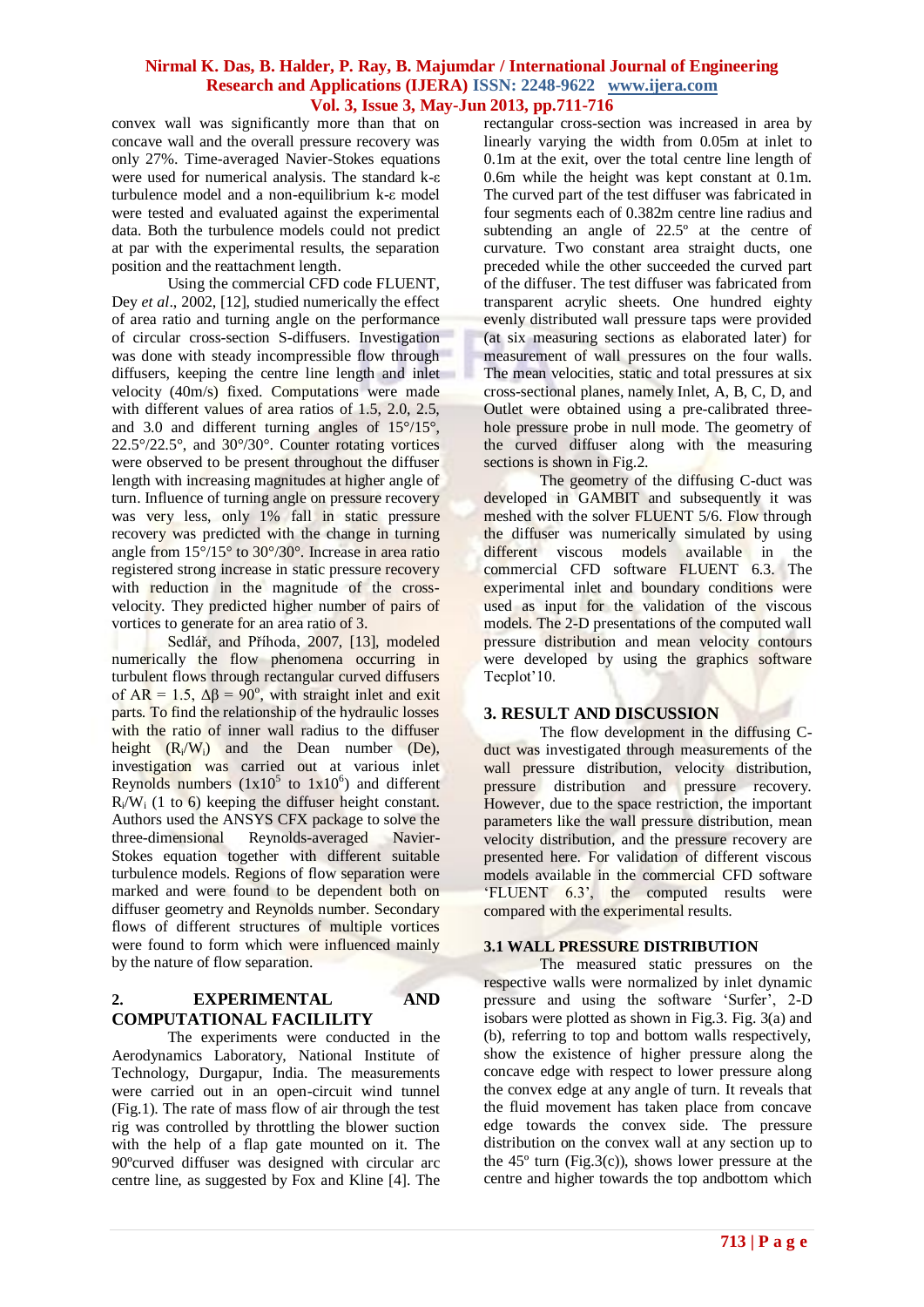convex wall was significantly more than that on concave wall and the overall pressure recovery was only 27%. Time-averaged Navier-Stokes equations were used for numerical analysis. The standard k-ε turbulence model and a non-equilibrium k-ε model were tested and evaluated against the experimental data. Both the turbulence models could not predict at par with the experimental results, the separation position and the reattachment length.

Using the commercial CFD code FLUENT, Dey *et al*., 2002, [12], studied numerically the effect of area ratio and turning angle on the performance of circular cross-section S-diffusers. Investigation was done with steady incompressible flow through diffusers, keeping the centre line length and inlet velocity (40m/s) fixed. Computations were made with different values of area ratios of 1.5, 2.0, 2.5, and 3.0 and different turning angles of 15°/15°, 22.5°/22.5°, and 30°/30°. Counter rotating vortices were observed to be present throughout the diffuser length with increasing magnitudes at higher angle of turn. Influence of turning angle on pressure recovery was very less, only 1% fall in static pressure recovery was predicted with the change in turning angle from 15°/15° to 30°/30°. Increase in area ratio registered strong increase in static pressure recovery with reduction in the magnitude of the crossvelocity. They predicted higher number of pairs of vortices to generate for an area ratio of 3.

Sedlář, and Příhoda, 2007, [13], modeled numerically the flow phenomena occurring in turbulent flows through rectangular curved diffusers of  $AR = 1.5$ ,  $\Delta \beta = 90^{\circ}$ , with straight inlet and exit parts. To find the relationship of the hydraulic losses with the ratio of inner wall radius to the diffuser height  $(R_i/W_i)$  and the Dean number (De), investigation was carried out at various inlet Reynolds numbers  $(1x10^5$  to  $1x10^6)$  and different  $R/N_i$  (1 to 6) keeping the diffuser height constant. Authors used the ANSYS CFX package to solve the three-dimensional Reynolds-averaged Navier-Stokes equation together with different suitable turbulence models. Regions of flow separation were marked and were found to be dependent both on diffuser geometry and Reynolds number. Secondary flows of different structures of multiple vortices were found to form which were influenced mainly by the nature of flow separation.

## **2. EXPERIMENTAL AND COMPUTATIONAL FACILILITY**

The experiments were conducted in the Aerodynamics Laboratory, National Institute of Technology, Durgapur, India. The measurements were carried out in an open-circuit wind tunnel (Fig.1). The rate of mass flow of air through the test rig was controlled by throttling the blower suction with the help of a flap gate mounted on it. The 90ºcurved diffuser was designed with circular arc centre line, as suggested by Fox and Kline [4]. The

rectangular cross-section was increased in area by linearly varying the width from 0.05m at inlet to 0.1m at the exit, over the total centre line length of 0.6m while the height was kept constant at 0.1m. The curved part of the test diffuser was fabricated in four segments each of 0.382m centre line radius and subtending an angle of 22.5º at the centre of curvature. Two constant area straight ducts, one preceded while the other succeeded the curved part of the diffuser. The test diffuser was fabricated from transparent acrylic sheets. One hundred eighty evenly distributed wall pressure taps were provided (at six measuring sections as elaborated later) for measurement of wall pressures on the four walls. The mean velocities, static and total pressures at six cross-sectional planes, namely Inlet, A, B, C, D, and Outlet were obtained using a pre-calibrated threehole pressure probe in null mode. The geometry of the curved diffuser along with the measuring sections is shown in Fig.2.

The geometry of the diffusing C-duct was developed in GAMBIT and subsequently it was meshed with the solver FLUENT 5/6. Flow through the diffuser was numerically simulated by using different viscous models available in the commercial CFD software FLUENT 6.3. The experimental inlet and boundary conditions were used as input for the validation of the viscous models. The 2-D presentations of the computed wall pressure distribution and mean velocity contours were developed by using the graphics software Tecplot'10.

## **3. RESULT AND DISCUSSION**

The flow development in the diffusing Cduct was investigated through measurements of the wall pressure distribution, velocity distribution, pressure distribution and pressure recovery. However, due to the space restriction, the important parameters like the wall pressure distribution, mean velocity distribution, and the pressure recovery are presented here. For validation of different viscous models available in the commercial CFD software 'FLUENT 6.3', the computed results were compared with the experimental results.

#### **3.1 WALL PRESSURE DISTRIBUTION**

The measured static pressures on the respective walls were normalized by inlet dynamic pressure and using the software 'Surfer', 2-D isobars were plotted as shown in Fig.3. Fig. 3(a) and (b), referring to top and bottom walls respectively, show the existence of higher pressure along the concave edge with respect to lower pressure along the convex edge at any angle of turn. It reveals that the fluid movement has taken place from concave edge towards the convex side. The pressure distribution on the convex wall at any section up to the  $45^{\circ}$  turn (Fig.3(c)), shows lower pressure at the centre and higher towards the top andbottom which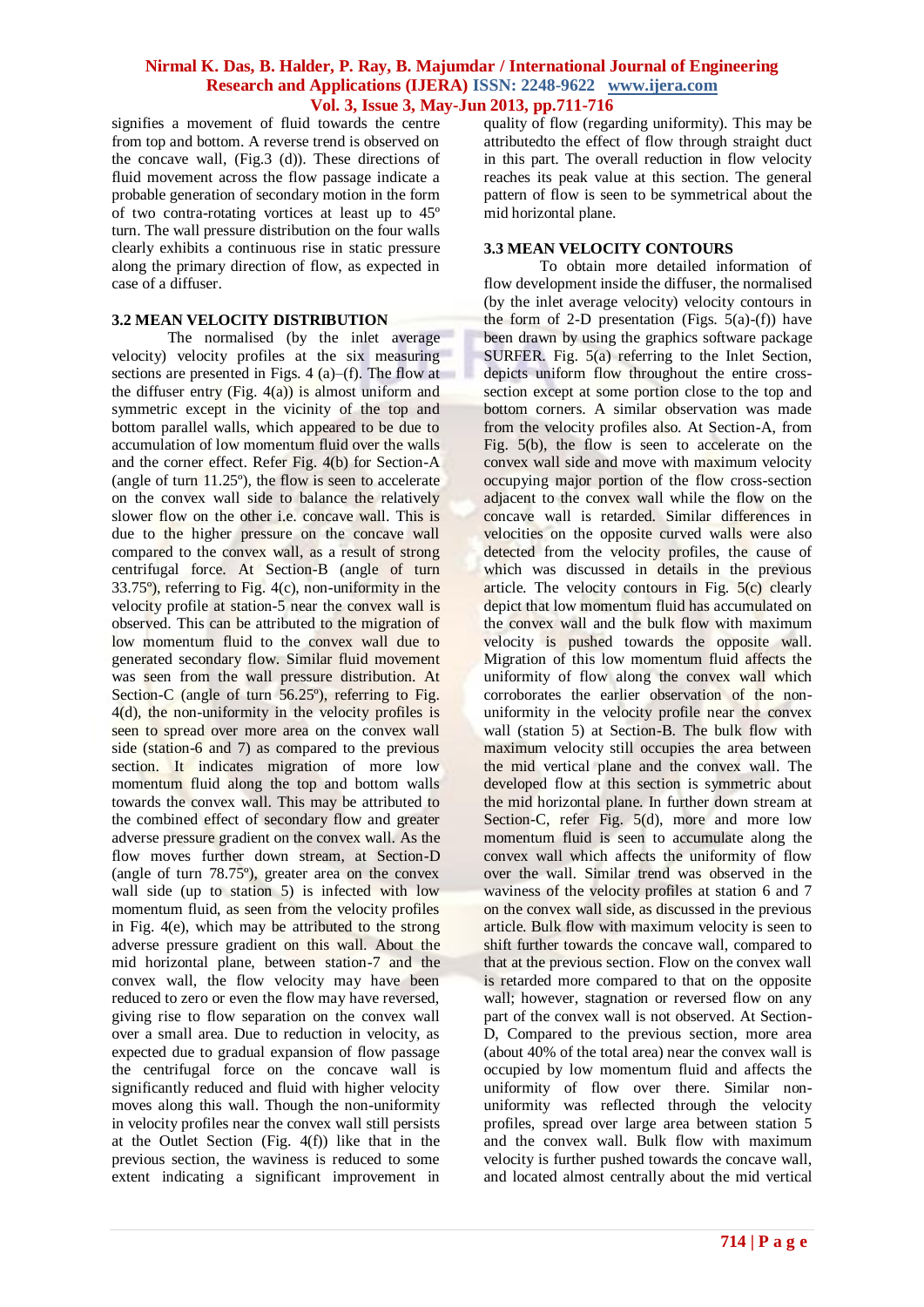signifies a movement of fluid towards the centre from top and bottom. A reverse trend is observed on the concave wall, (Fig.3 (d)). These directions of fluid movement across the flow passage indicate a probable generation of secondary motion in the form of two contra-rotating vortices at least up to 45º turn. The wall pressure distribution on the four walls clearly exhibits a continuous rise in static pressure along the primary direction of flow, as expected in case of a diffuser.

## **3.2 MEAN VELOCITY DISTRIBUTION**

The normalised (by the inlet average velocity) velocity profiles at the six measuring sections are presented in Figs. 4 (a)–(f). The flow at the diffuser entry (Fig.  $4(a)$ ) is almost uniform and symmetric except in the vicinity of the top and bottom parallel walls, which appeared to be due to accumulation of low momentum fluid over the walls and the corner effect. Refer Fig. 4(b) for Section-A (angle of turn 11.25º), the flow is seen to accelerate on the convex wall side to balance the relatively slower flow on the other i.e. concave wall. This is due to the higher pressure on the concave wall compared to the convex wall, as a result of strong centrifugal force. At Section-B (angle of turn 33.75º), referring to Fig. 4(c), non-uniformity in the velocity profile at station-5 near the convex wall is observed. This can be attributed to the migration of low momentum fluid to the convex wall due to generated secondary flow. Similar fluid movement was seen from the wall pressure distribution. At Section-C (angle of turn 56.25°), referring to Fig. 4(d), the non-uniformity in the velocity profiles is seen to spread over more area on the convex wall side (station-6 and 7) as compared to the previous section. It indicates migration of more low momentum fluid along the top and bottom walls towards the convex wall. This may be attributed to the combined effect of secondary flow and greater adverse pressure gradient on the convex wall. As the flow moves further down stream, at Section-D (angle of turn 78.75º), greater area on the convex wall side (up to station 5) is infected with low momentum fluid, as seen from the velocity profiles in Fig. 4(e), which may be attributed to the strong adverse pressure gradient on this wall. About the mid horizontal plane, between station-7 and the convex wall, the flow velocity may have been reduced to zero or even the flow may have reversed, giving rise to flow separation on the convex wall over a small area. Due to reduction in velocity, as expected due to gradual expansion of flow passage the centrifugal force on the concave wall is significantly reduced and fluid with higher velocity moves along this wall. Though the non-uniformity in velocity profiles near the convex wall still persists at the Outlet Section (Fig. 4(f)) like that in the previous section, the waviness is reduced to some extent indicating a significant improvement in

quality of flow (regarding uniformity). This may be attributedto the effect of flow through straight duct in this part. The overall reduction in flow velocity reaches its peak value at this section. The general pattern of flow is seen to be symmetrical about the mid horizontal plane.

#### **3.3 MEAN VELOCITY CONTOURS**

To obtain more detailed information of flow development inside the diffuser, the normalised (by the inlet average velocity) velocity contours in the form of 2-D presentation (Figs.  $5(a)-(f)$ ) have been drawn by using the graphics software package SURFER. Fig. 5(a) referring to the Inlet Section, depicts uniform flow throughout the entire crosssection except at some portion close to the top and bottom corners. A similar observation was made from the velocity profiles also. At Section-A, from Fig. 5(b), the flow is seen to accelerate on the convex wall side and move with maximum velocity occupying major portion of the flow cross-section adjacent to the convex wall while the flow on the concave wall is retarded. Similar differences in velocities on the opposite curved walls were also detected from the velocity profiles, the cause of which was discussed in details in the previous article. The velocity contours in Fig. 5(c) clearly depict that low momentum fluid has accumulated on the convex wall and the bulk flow with maximum velocity is pushed towards the opposite wall. Migration of this low momentum fluid affects the uniformity of flow along the convex wall which corroborates the earlier observation of the nonuniformity in the velocity profile near the convex wall (station 5) at Section-B. The bulk flow with maximum velocity still occupies the area between the mid vertical plane and the convex wall. The developed flow at this section is symmetric about the mid horizontal plane. In further down stream at Section-C, refer Fig. 5(d), more and more low momentum fluid is seen to accumulate along the convex wall which affects the uniformity of flow over the wall. Similar trend was observed in the waviness of the velocity profiles at station 6 and 7 on the convex wall side, as discussed in the previous article. Bulk flow with maximum velocity is seen to shift further towards the concave wall, compared to that at the previous section. Flow on the convex wall is retarded more compared to that on the opposite wall; however, stagnation or reversed flow on any part of the convex wall is not observed. At Section-D, Compared to the previous section, more area (about 40% of the total area) near the convex wall is occupied by low momentum fluid and affects the uniformity of flow over there. Similar nonuniformity was reflected through the velocity profiles, spread over large area between station 5 and the convex wall. Bulk flow with maximum velocity is further pushed towards the concave wall, and located almost centrally about the mid vertical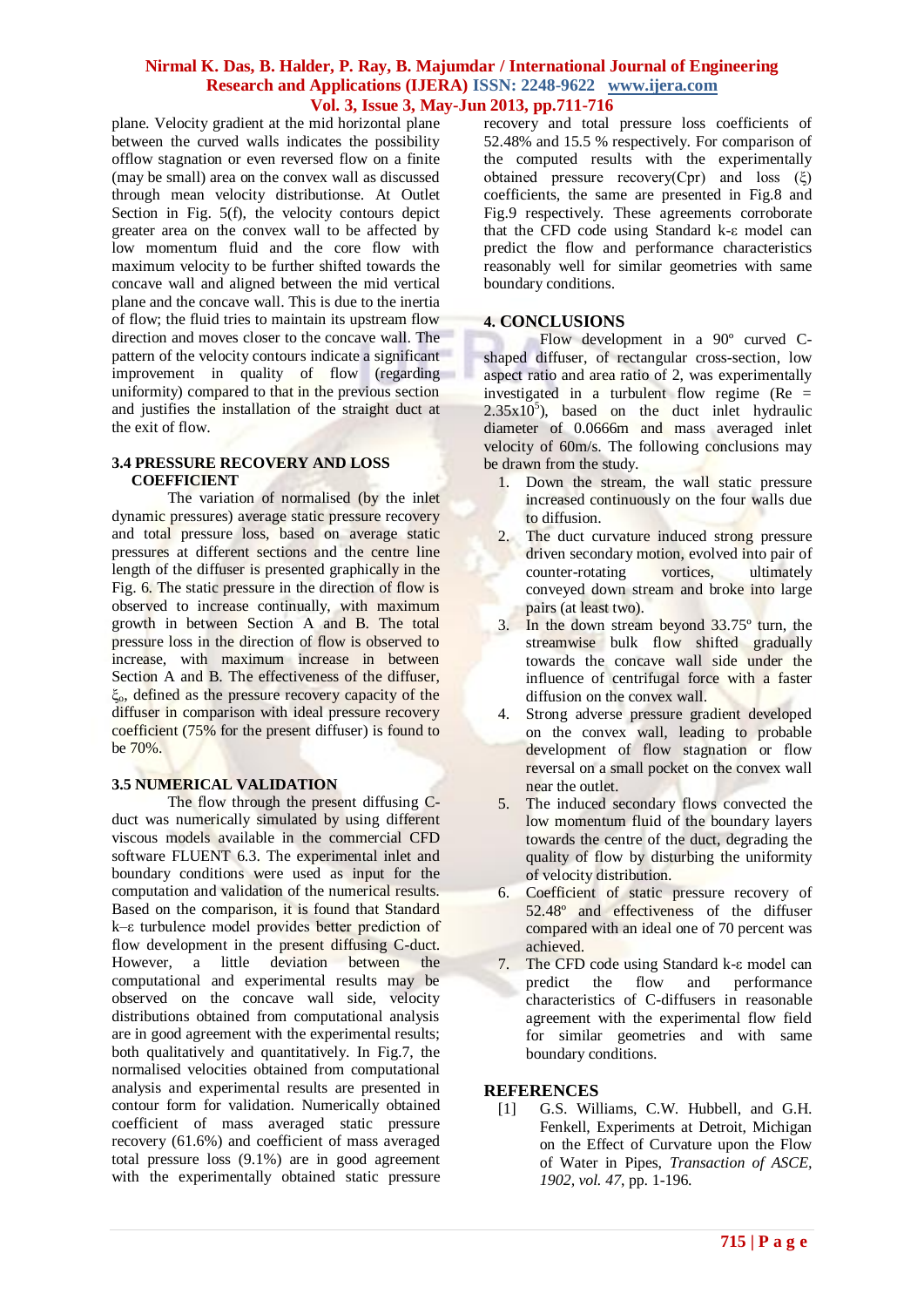plane. Velocity gradient at the mid horizontal plane between the curved walls indicates the possibility offlow stagnation or even reversed flow on a finite (may be small) area on the convex wall as discussed through mean velocity distributionse. At Outlet Section in Fig. 5(f), the velocity contours depict greater area on the convex wall to be affected by low momentum fluid and the core flow with maximum velocity to be further shifted towards the concave wall and aligned between the mid vertical plane and the concave wall. This is due to the inertia of flow; the fluid tries to maintain its upstream flow direction and moves closer to the concave wall. The pattern of the velocity contours indicate a significant improvement in quality of flow (regarding uniformity) compared to that in the previous section and justifies the installation of the straight duct at the exit of flow.

#### **3.4 PRESSURE RECOVERY AND LOSS COEFFICIENT**

The variation of normalised (by the inlet dynamic pressures) average static pressure recovery and total pressure loss, based on average static pressures at different sections and the centre line length of the diffuser is presented graphically in the Fig. 6. The static pressure in the direction of flow is observed to increase continually, with maximum growth in between Section A and B. The total pressure loss in the direction of flow is observed to increase, with maximum increase in between Section A and B. The effectiveness of the diffuser, ξo, defined as the pressure recovery capacity of the diffuser in comparison with ideal pressure recovery coefficient (75% for the present diffuser) is found to be 70%.

## **3.5 NUMERICAL VALIDATION**

The flow through the present diffusing Cduct was numerically simulated by using different viscous models available in the commercial CFD software FLUENT 6.3. The experimental inlet and boundary conditions were used as input for the computation and validation of the numerical results. Based on the comparison, it is found that Standard k–ε turbulence model provides better prediction of flow development in the present diffusing C-duct. However, a little deviation between the computational and experimental results may be observed on the concave wall side, velocity distributions obtained from computational analysis are in good agreement with the experimental results; both qualitatively and quantitatively. In Fig.7, the normalised velocities obtained from computational analysis and experimental results are presented in contour form for validation. Numerically obtained coefficient of mass averaged static pressure recovery (61.6%) and coefficient of mass averaged total pressure loss (9.1%) are in good agreement with the experimentally obtained static pressure

recovery and total pressure loss coefficients of 52.48% and 15.5 % respectively. For comparison of the computed results with the experimentally obtained pressure recovery(Cpr) and loss (ξ) coefficients, the same are presented in Fig.8 and Fig.9 respectively. These agreements corroborate that the CFD code using Standard k-ε model can predict the flow and performance characteristics reasonably well for similar geometries with same boundary conditions.

## **4. CONCLUSIONS**

Flow development in a 90º curved Cshaped diffuser, of rectangular cross-section, low aspect ratio and area ratio of 2, was experimentally investigated in a turbulent flow regime (Re =  $2.35x10<sup>5</sup>$ ), based on the duct inlet hydraulic diameter of 0.0666m and mass averaged inlet velocity of 60m/s. The following conclusions may be drawn from the study.

- 1. Down the stream, the wall static pressure increased continuously on the four walls due to diffusion.
- 2. The duct curvature induced strong pressure driven secondary motion, evolved into pair of counter-rotating vortices, ultimately conveyed down stream and broke into large pairs (at least two).
- 3. In the down stream beyond 33.75º turn, the streamwise bulk flow shifted gradually towards the concave wall side under the influence of centrifugal force with a faster diffusion on the convex wall.
- 4. Strong adverse pressure gradient developed on the convex wall, leading to probable development of flow stagnation or flow reversal on a small pocket on the convex wall near the outlet.
- 5. The induced secondary flows convected the low momentum fluid of the boundary layers towards the centre of the duct, degrading the quality of flow by disturbing the uniformity of velocity distribution.
- 6. Coefficient of static pressure recovery of 52.48º and effectiveness of the diffuser compared with an ideal one of 70 percent was achieved.
- 7. The CFD code using Standard k-ε model can predict the flow and performance characteristics of C-diffusers in reasonable agreement with the experimental flow field for similar geometries and with same boundary conditions.

## **REFERENCES**

[1] G.S. Williams, C.W. Hubbell, and G.H. Fenkell, Experiments at Detroit, Michigan on the Effect of Curvature upon the Flow of Water in Pipes, *Transaction of ASCE, 1902, vol. 47*, pp. 1-196.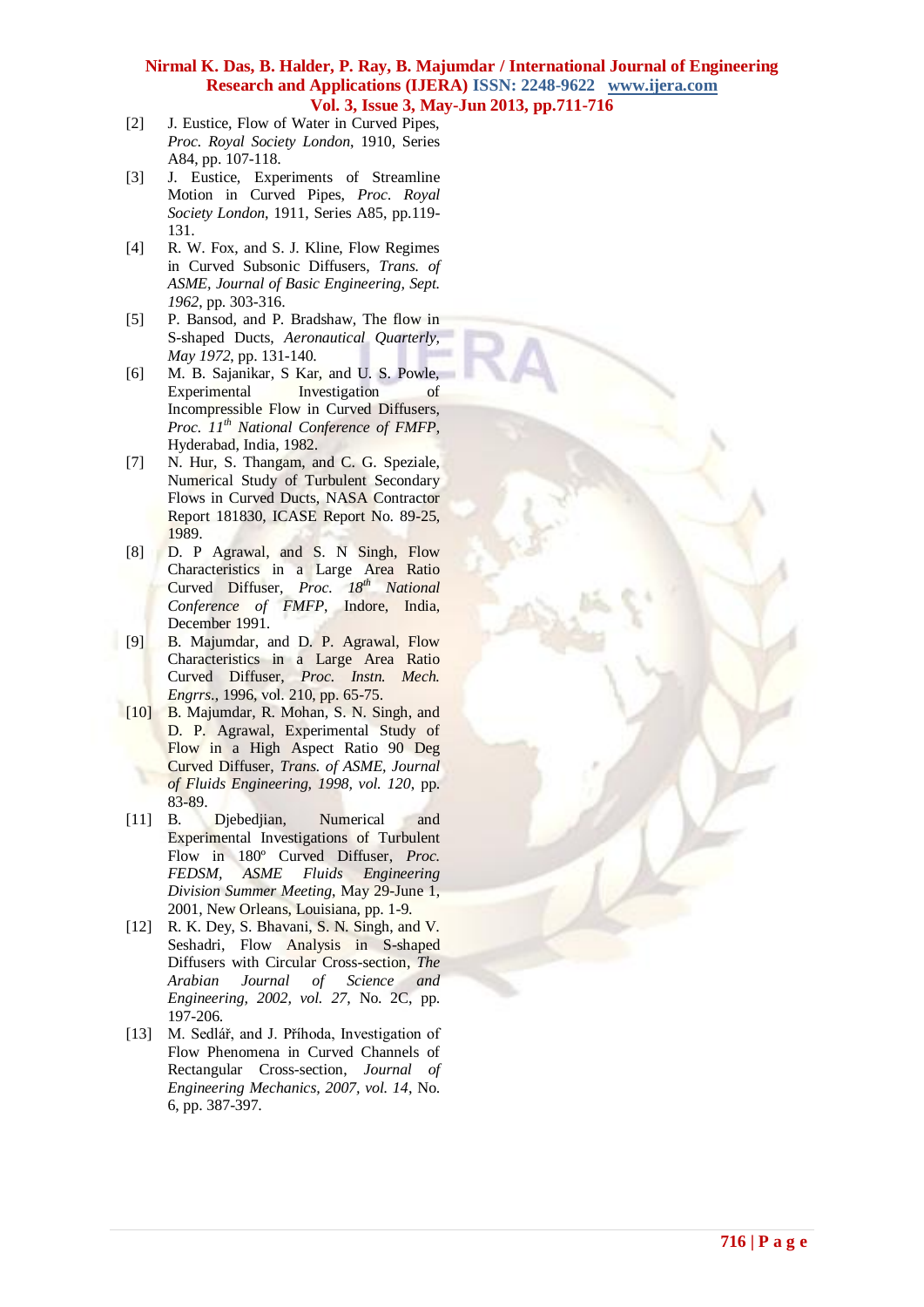- [2] J. Eustice, Flow of Water in Curved Pipes, *Proc. Royal Society London*, 1910, Series A84, pp. 107-118.
- [3] J. Eustice, Experiments of Streamline Motion in Curved Pipes, *Proc. Royal Society London*, 1911, Series A85, pp.119- 131.
- [4] R. W. Fox, and S. J. Kline, Flow Regimes in Curved Subsonic Diffusers, *Trans. of ASME, Journal of Basic Engineering, Sept. 1962*, pp. 303-316.
- [5] P. Bansod, and P. Bradshaw, The flow in S-shaped Ducts, *Aeronautical Quarterly, May 1972*, pp. 131-140.
- [6] M. B. Sajanikar, S Kar, and U. S. Powle, Experimental Investigation of Incompressible Flow in Curved Diffusers, *Proc. 11th National Conference of FMFP*, Hyderabad, India, 1982.
- [7] N. Hur, S. Thangam, and C. G. Speziale, Numerical Study of Turbulent Secondary Flows in Curved Ducts, NASA Contractor Report 181830, ICASE Report No. 89-25, 1989.
- [8] D. P Agrawal, and S. N Singh, Flow Characteristics in a Large Area Ratio Curved Diffuser, *Proc. 18th National Conference of FMFP*, Indore, India, December 1991.
- [9] B. Majumdar, and D. P. Agrawal, Flow Characteristics in a Large Area Ratio Curved Diffuser, *Proc. Instn. Mech. Engrrs*., 1996, vol. 210, pp. 65-75.
- [10] B. Majumdar, R. Mohan, S. N. Singh, and D. P. Agrawal, Experimental Study of Flow in a High Aspect Ratio 90 Deg Curved Diffuser, *Trans. of ASME, Journal of Fluids Engineering, 1998, vol. 120*, pp. 83-89.
- [11] B. Djebedjian, Numerical and Experimental Investigations of Turbulent Flow in 180º Curved Diffuser, *Proc. FEDSM, ASME Fluids Engineering Division Summer Meeting*, May 29-June 1, 2001, New Orleans, Louisiana, pp. 1-9.
- [12] R. K. Dey, S. Bhavani, S. N. Singh, and V. Seshadri, Flow Analysis in S-shaped Diffusers with Circular Cross-section, *The Arabian Journal of Science and Engineering, 2002, vol. 27*, No. 2C, pp. 197-206.
- [13] M. Sedlář, and J. Příhoda, Investigation of Flow Phenomena in Curved Channels of Rectangular Cross-section, *Journal of Engineering Mechanics, 2007, vol. 14*, No. 6, pp. 387-397.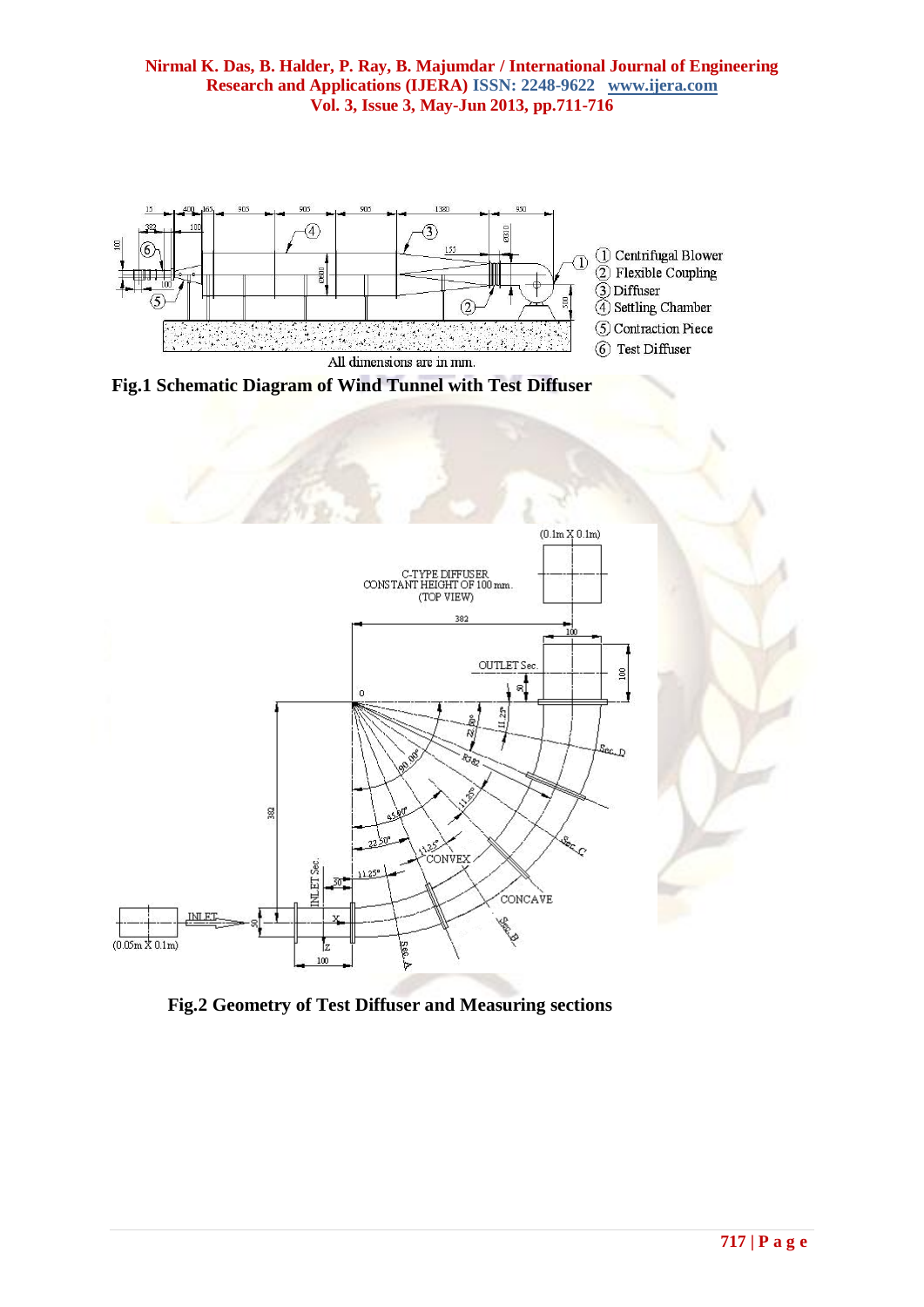

**Fig.1 Schematic Diagram of Wind Tunnel with Test Diffuser**



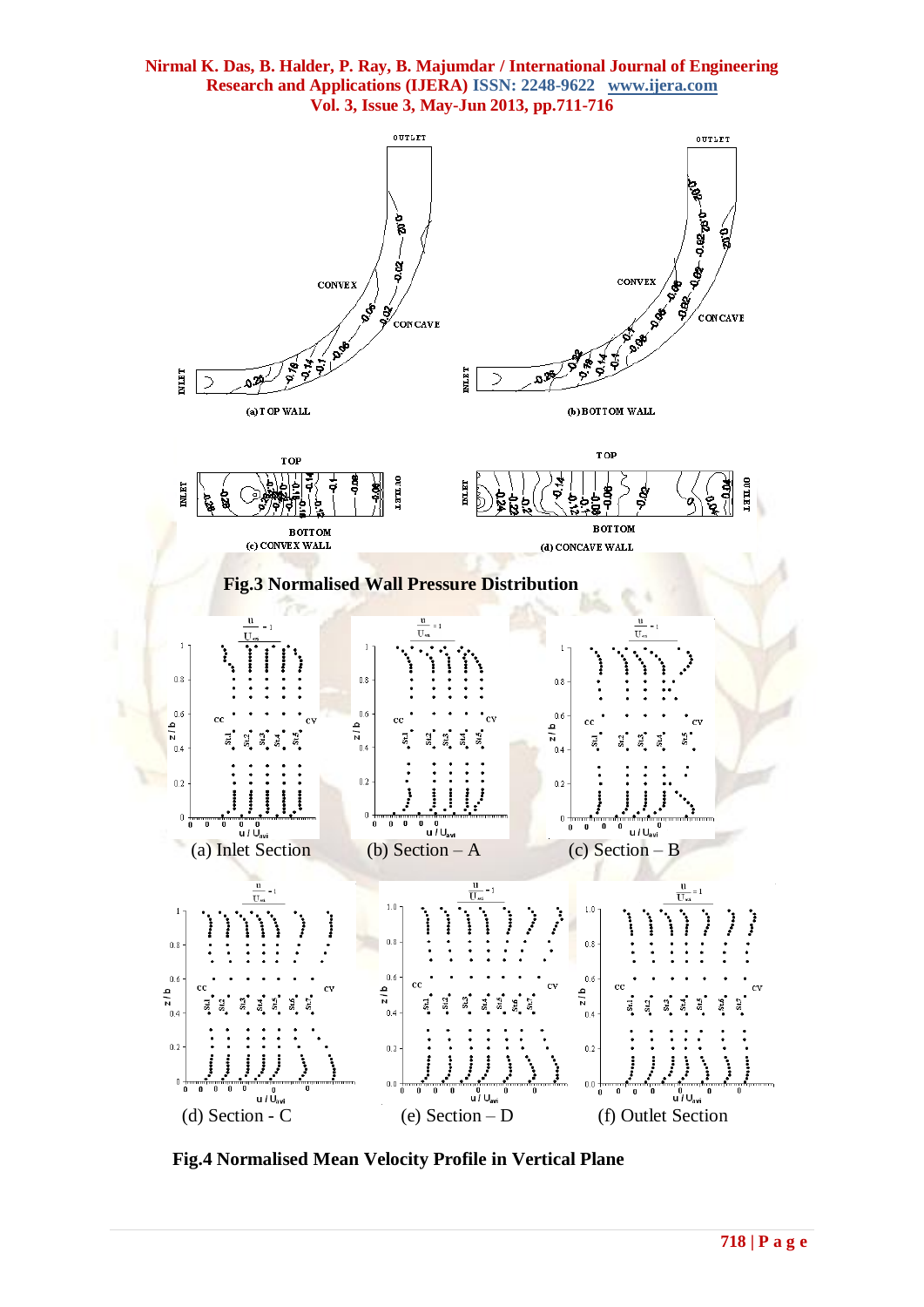

 **Fig.4 Normalised Mean Velocity Profile in Vertical Plane**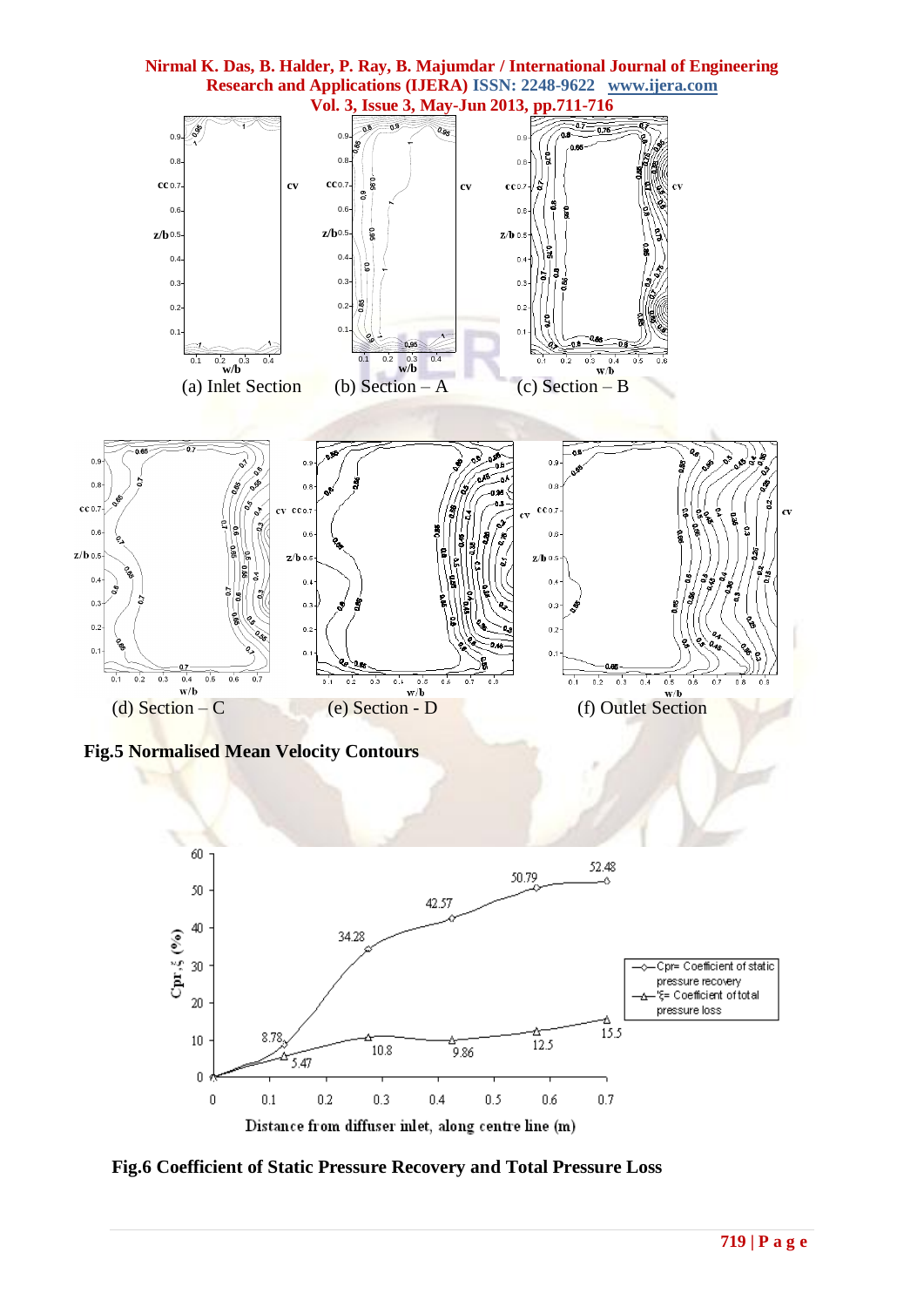

**Fig.6 Coefficient of Static Pressure Recovery and Total Pressure Loss**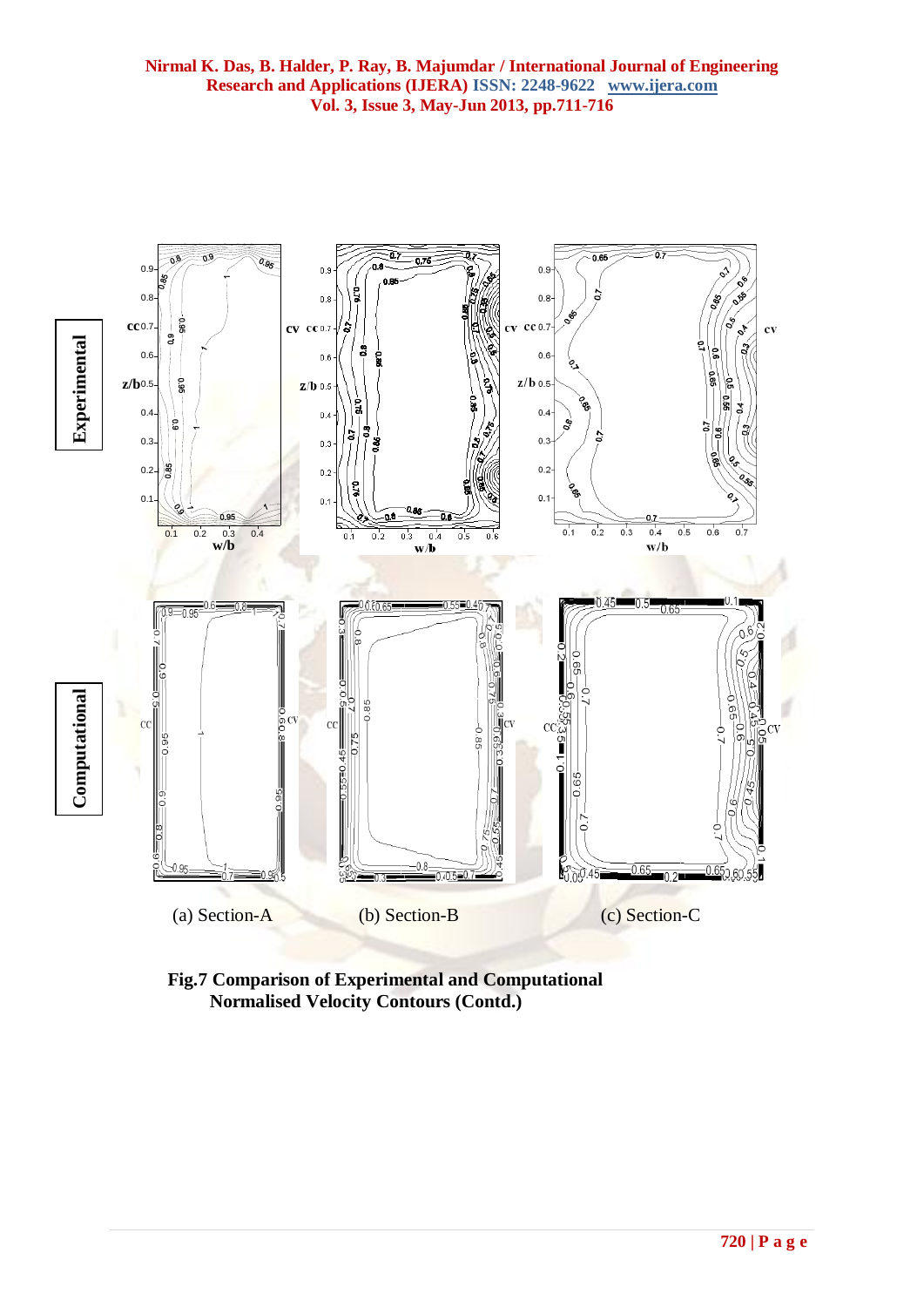

**Fig.7 Comparison of Experimental and Computational Normalised Velocity Contours (Contd.)**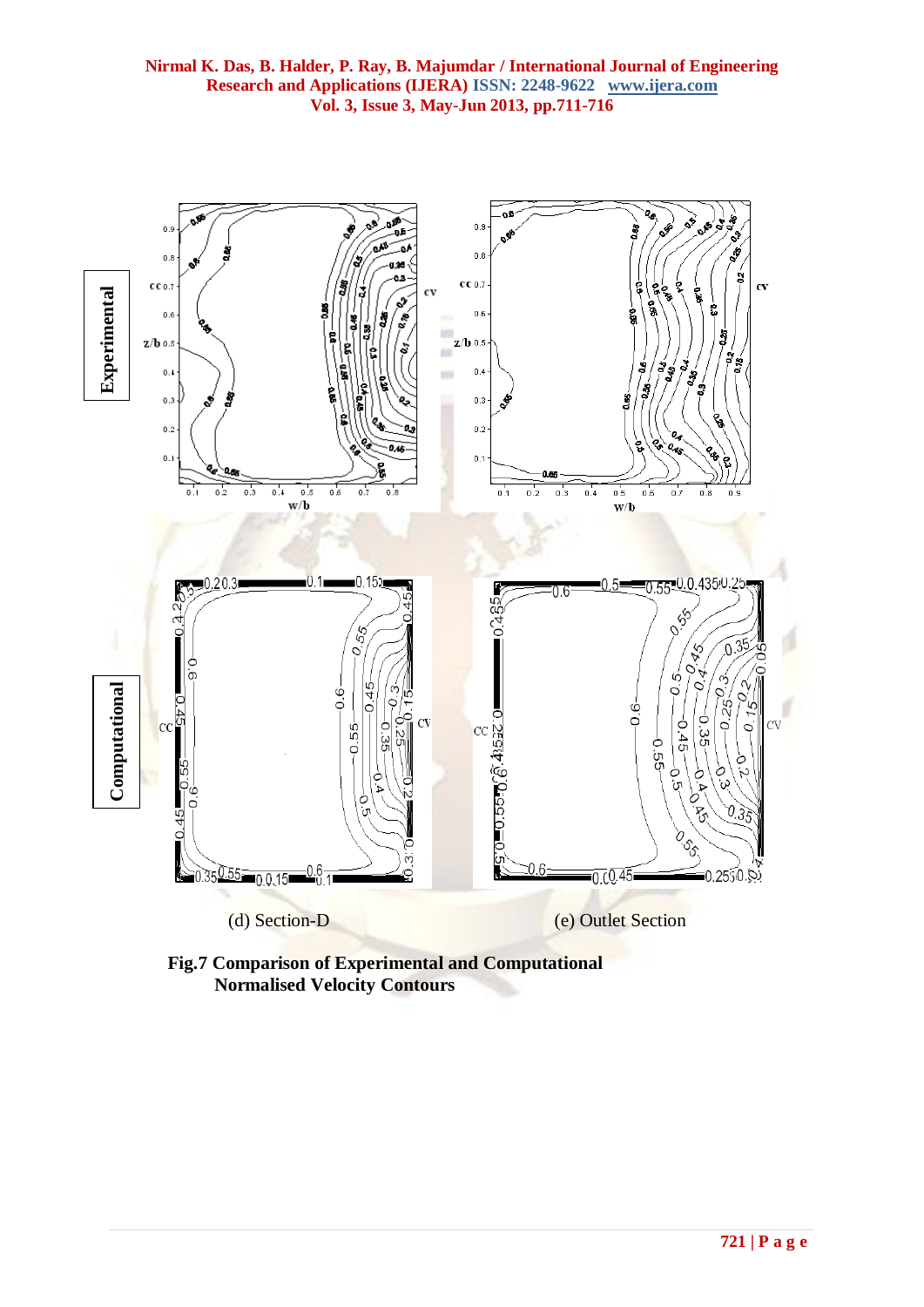

**Fig.7 Comparison of Experimental and Computational Normalised Velocity Contours**